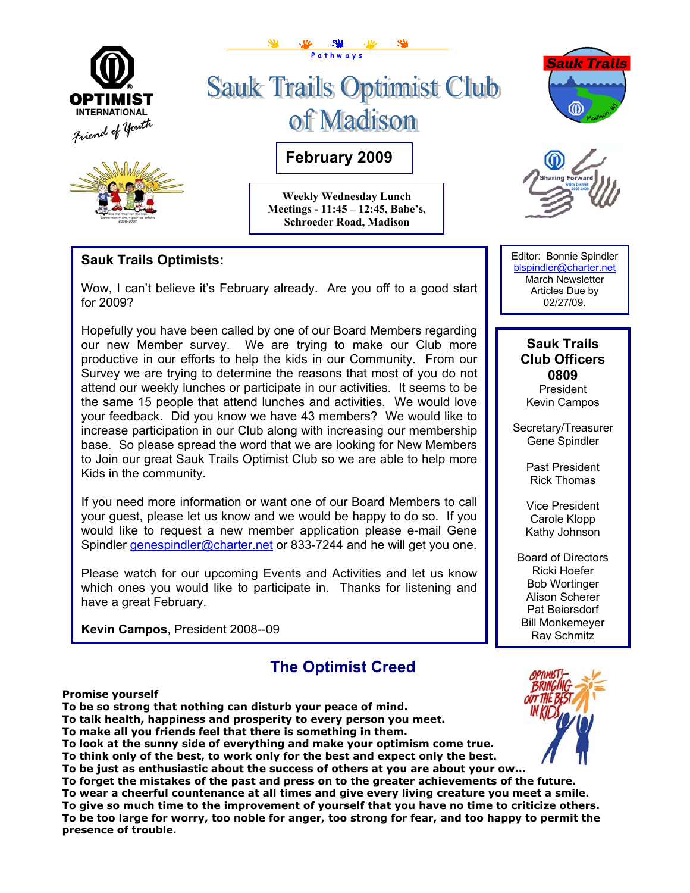



# **Sauk Trails Optimist Club** of Madison

**February 2009** 

**P a t h w a y s**

**Weekly Wednesday Lunch Meetings - 11:45 – 12:45, Babe's, Schroeder Road, Madison** 





## **Sauk Trails Optimists:**

Wow, I can't believe it's February already. Are you off to a good start for 2009?

Hopefully you have been called by one of our Board Members regarding our new Member survey. We are trying to make our Club more productive in our efforts to help the kids in our Community. From our Survey we are trying to determine the reasons that most of you do not attend our weekly lunches or participate in our activities. It seems to be the same 15 people that attend lunches and activities. We would love your feedback. Did you know we have 43 members? We would like to increase participation in our Club along with increasing our membership base. So please spread the word that we are looking for New Members to Join our great Sauk Trails Optimist Club so we are able to help more Kids in the community.

If you need more information or want one of our Board Members to call your guest, please let us know and we would be happy to do so. If you would like to request a new member application please e-mail Gene Spindler [genespindler@charter.net](mailto:genespindler@charter.net) or 833-7244 and he will get you one.

Please watch for our upcoming Events and Activities and let us know which ones you would like to participate in. Thanks for listening and have a great February.

**Kevin Campos**, President 2008--09

# **The Optimist Creed**

Editor: Bonnie Spindler [blspindler@charter.net](mailto:blspindler@charter.net)  March Newsletter Articles Due by 02/27/09.

#### **Sauk Trails Club Officers 0809 President**

Kevin Campos

Secretary/Treasurer Gene Spindler

> Past President Rick Thomas

Vice President Carole Klopp Kathy Johnson

Board of Directors Ricki Hoefer Bob Wortinger Alison Scherer Pat Beiersdorf Bill Monkemeyer Ray Schmitz

**Promise yourself** 

**To be so strong that nothing can disturb your peace of mind.** 

**To talk health, happiness and prosperity to every person you meet.** 

**To make all you friends feel that there is something in them.** 

**To look at the sunny side of everything and make your optimism come true.** 

**To think only of the best, to work only for the best and expect only the best.** 

**To be just as enthusiastic about the success of others at you are about your own.** 

**To forget the mistakes of the past and press on to the greater achievements of the future. To wear a cheerful countenance at all times and give every living creature you meet a smile. To give so much time to the improvement of yourself that you have no time to criticize others. To be too large for worry, too noble for anger, too strong for fear, and too happy to permit the presence of trouble.**

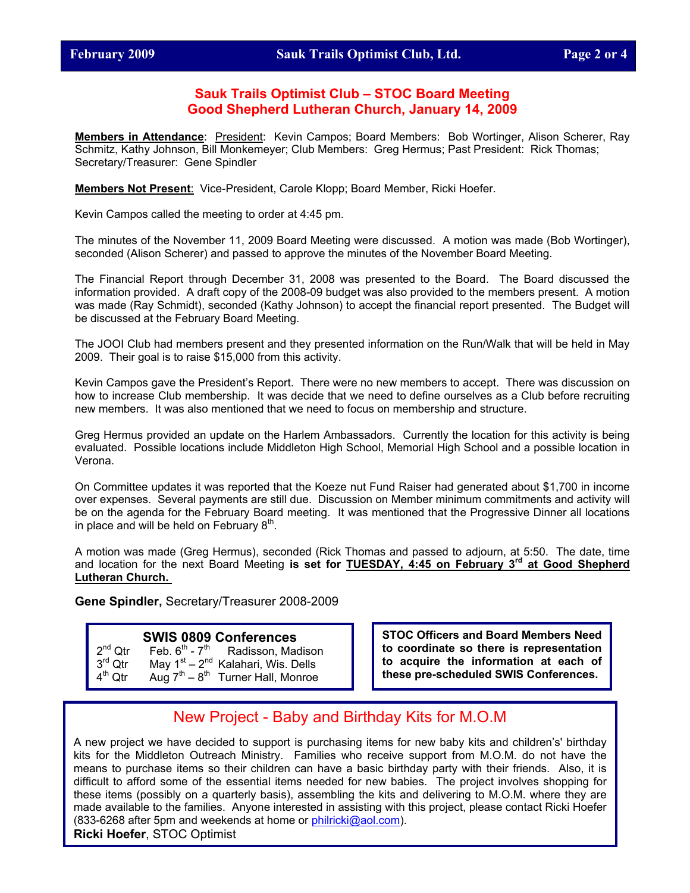#### **Sauk Trails Optimist Club – STOC Board Meeting Good Shepherd Lutheran Church, January 14, 2009**

**Members in Attendance**: President: Kevin Campos; Board Members: Bob Wortinger, Alison Scherer, Ray Schmitz, Kathy Johnson, Bill Monkemeyer; Club Members: Greg Hermus; Past President: Rick Thomas; Secretary/Treasurer: Gene Spindler

**Members Not Present**: Vice-President, Carole Klopp; Board Member, Ricki Hoefer.

Kevin Campos called the meeting to order at 4:45 pm.

The minutes of the November 11, 2009 Board Meeting were discussed. A motion was made (Bob Wortinger), seconded (Alison Scherer) and passed to approve the minutes of the November Board Meeting.

The Financial Report through December 31, 2008 was presented to the Board. The Board discussed the information provided. A draft copy of the 2008-09 budget was also provided to the members present. A motion was made (Ray Schmidt), seconded (Kathy Johnson) to accept the financial report presented. The Budget will be discussed at the February Board Meeting.

The JOOI Club had members present and they presented information on the Run/Walk that will be held in May 2009. Their goal is to raise \$15,000 from this activity.

Kevin Campos gave the President's Report. There were no new members to accept. There was discussion on how to increase Club membership. It was decide that we need to define ourselves as a Club before recruiting new members. It was also mentioned that we need to focus on membership and structure.

Greg Hermus provided an update on the Harlem Ambassadors. Currently the location for this activity is being evaluated. Possible locations include Middleton High School, Memorial High School and a possible location in Verona.

On Committee updates it was reported that the Koeze nut Fund Raiser had generated about \$1,700 in income over expenses. Several payments are still due. Discussion on Member minimum commitments and activity will be on the agenda for the February Board meeting. It was mentioned that the Progressive Dinner all locations in place and will be held on February  $8^{\text{m}}$ .

A motion was made (Greg Hermus), seconded (Rick Thomas and passed to adjourn, at 5:50. The date, time and location for the next Board Meeting **is set for TUESDAY, 4:45 on February 3rd at Good Shepherd Lutheran Church.** 

**Gene Spindler,** Secretary/Treasurer 2008-2009

### **SWIS 0809 Conferences**

| $2^{nd}$ Qtr        | Feb. $6^{\sf th}$ - $7^{\sf th}$ | Radisson, Madison                          |
|---------------------|----------------------------------|--------------------------------------------|
| $3^{\text{rd}}$ Qtr |                                  | May $1^{st} - 2^{nd}$ Kalahari, Wis. Dells |
| $4^{th}$ Qtr        |                                  | Aug $7th - 8th$ Turner Hall, Monroe        |

**STOC Officers and Board Members Need to coordinate so there is representation to acquire the information at each of these pre-scheduled SWIS Conferences.** 

# New Project - Baby and Birthday Kits for M.O.M

A new project we have decided to support is purchasing items for new baby kits and children's' birthday kits for the Middleton Outreach Ministry. Families who receive support from M.O.M. do not have the means to purchase items so their children can have a basic birthday party with their friends. Also, it is difficult to afford some of the essential items needed for new babies. The project involves shopping for these items (possibly on a quarterly basis), assembling the kits and delivering to M.O.M. where they are made available to the families. Anyone interested in assisting with this project, please contact Ricki Hoefer (833-6268 after 5pm and weekends at home or **philricki@aol.com)**. **Ricki Hoefer**, STOC Optimist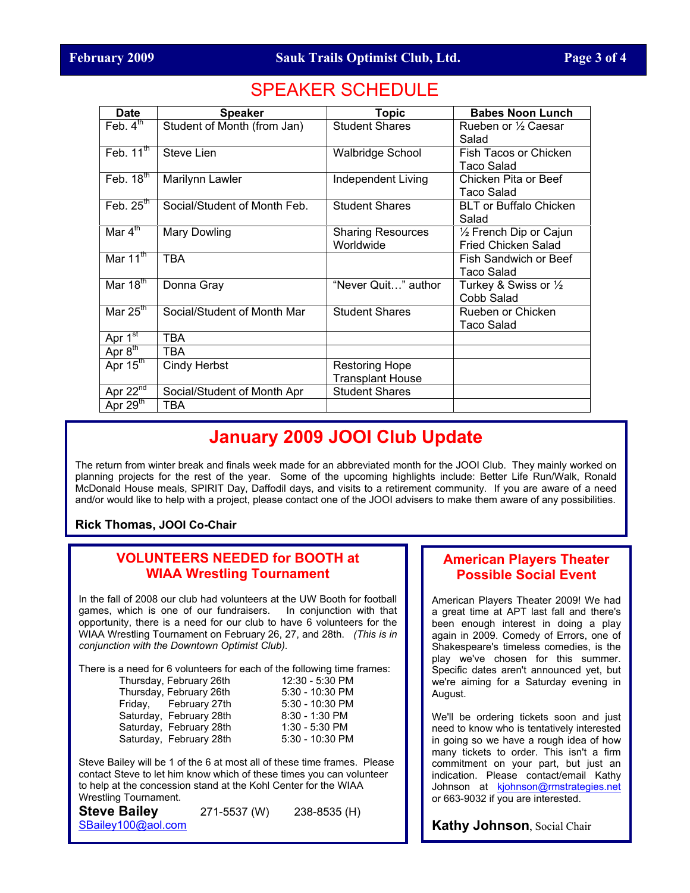# SPEAKER SCHEDULE

| <b>Date</b>          | <b>Speaker</b>               | <b>Topic</b>                                     | <b>Babes Noon Lunch</b>                        |
|----------------------|------------------------------|--------------------------------------------------|------------------------------------------------|
| Feb. $4th$           | Student of Month (from Jan)  | <b>Student Shares</b>                            | Rueben or 1/2 Caesar<br>Salad                  |
| Feb. $11th$          | Steve Lien                   | <b>Walbridge School</b>                          | Fish Tacos or Chicken<br><b>Taco Salad</b>     |
| Feb. $18th$          | Marilynn Lawler              | Independent Living                               | Chicken Pita or Beef<br>Taco Salad             |
| Feb. $25th$          | Social/Student of Month Feb. | <b>Student Shares</b>                            | <b>BLT or Buffalo Chicken</b><br>Salad         |
| Mar $4^{\text{th}}$  | Mary Dowling                 | <b>Sharing Resources</b><br>Worldwide            | 1/2 French Dip or Cajun<br>Fried Chicken Salad |
| Mar $11^{\text{th}}$ | <b>TBA</b>                   |                                                  | Fish Sandwich or Beef<br>Taco Salad            |
| Mar $18^{\text{th}}$ | Donna Gray                   | "Never Quit" author                              | Turkey & Swiss or 1/2<br>Cobb Salad            |
| Mar $25th$           | Social/Student of Month Mar  | <b>Student Shares</b>                            | Rueben or Chicken<br>Taco Salad                |
| Apr 1st              | <b>TBA</b>                   |                                                  |                                                |
| Apr $8^{\text{th}}$  | <b>TBA</b>                   |                                                  |                                                |
| Apr $15th$           | <b>Cindy Herbst</b>          | <b>Restoring Hope</b><br><b>Transplant House</b> |                                                |
| Apr $22^{nd}$        | Social/Student of Month Apr  | <b>Student Shares</b>                            |                                                |
| Apr $29th$           | TBA                          |                                                  |                                                |

# **January 2009 JOOI Club Update**

The return from winter break and finals week made for an abbreviated month for the JOOI Club. They mainly worked on planning projects for the rest of the year. Some of the upcoming highlights include: Better Life Run/Walk, Ronald McDonald House meals, SPIRIT Day, Daffodil days, and visits to a retirement community. If you are aware of a need and/or would like to help with a project, please contact one of the JOOI advisers to make them aware of any possibilities.

**Rick Thomas, JOOI Co-Chair**

### **VOLUNTEERS NEEDED for BOOTH at WIAA Wrestling Tournament**

In the fall of 2008 our club had volunteers at the UW Booth for football games, which is one of our fundraisers. In conjunction with that opportunity, there is a need for our club to have 6 volunteers for the WIAA Wrestling Tournament on February 26, 27, and 28th. *(This is in conjunction with the Downtown Optimist Club).* 

There is a need for 6 volunteers for each of the following time frames:

Thursday, February 26th Thursday, February 26th Friday, February 27th Saturday, February 28th Saturday, February 28th Saturday, February 28th

| 12:30 - 5:30 PM |
|-----------------|
| 5:30 - 10:30 PM |
| 5:30 - 10:30 PM |
| 8:30 - 1:30 PM  |
| 1:30 - 5:30 PM  |
| 5:30 - 10:30 PM |

Steve Bailey will be 1 of the 6 at most all of these time frames. Please contact Steve to let him know which of these times you can volunteer to help at the concession stand at the Kohl Center for the WIAA Wrestling Tournament.

**Steve Bailey** 271-5537 (W) 238-8535 (H) [SBailey100@aol.com](mailto:SBailey100@aol.com) 

## **American Players Theater Possible Social Event**

American Players Theater 2009! We had a great time at APT last fall and there's been enough interest in doing a play again in 2009. Comedy of Errors, one of Shakespeare's timeless comedies, is the play we've chosen for this summer. Specific dates aren't announced yet, but we're aiming for a Saturday evening in August.

We'll be ordering tickets soon and just need to know who is tentatively interested in going so we have a rough idea of how many tickets to order. This isn't a firm commitment on your part, but just an indication. Please contact/email Kathy Johnson at [kjohnson@rmstrategies.n](mailto:kjohnson@rmstrategies.net)et or 663-9032 if you are interested.

**Kathy Johnson**, Social Chair